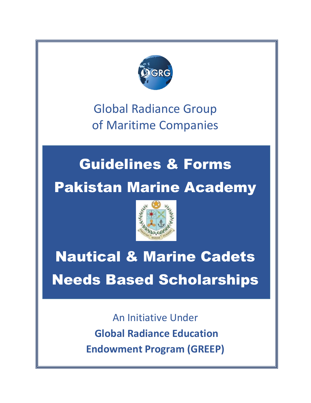

Global Radiance Group of Maritime Companies

# Guidelines & Forms Pakistan Marine Academy



# Nautical & Marine Cadets Needs Based Scholarships

An Initiative Under **Global Radiance Education Endowment Program (GREEP)**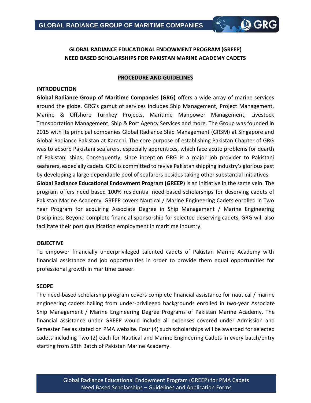## **GLOBAL RADIANCE EDUCATIONAL ENDOWMENT PROGRAM (GREEP) NEED BASED SCHOLARSHIPS FOR PAKISTAN MARINE ACADEMY CADETS**

**Q GRC** 

#### **PROCEDURE AND GUIDELINES**

#### **INTRODUCTION**

**Global Radiance Group of Maritime Companies (GRG)** offers a wide array of marine services around the globe. GRG's gamut of services includes Ship Management, Project Management, Marine & Offshore Turnkey Projects, Maritime Manpower Management, Livestock Transportation Management, Ship & Port Agency Services and more. The Group was founded in 2015 with its principal companies Global Radiance Ship Management (GRSM) at Singapore and Global Radiance Pakistan at Karachi. The core purpose of establishing Pakistan Chapter of GRG was to absorb Pakistani seafarers, especially apprentices, which face acute problems for dearth of Pakistani ships. Consequently, since inception GRG is a major job provider to Pakistani seafarers, especially cadets. GRG is committed to revive Pakistan shipping industry's glorious past by developing a large dependable pool of seafarers besides taking other substantial initiatives.

**Global Radiance Educational Endowment Program (GREEP)** is an initiative in the same vein. The program offers need based 100% residential need-based scholarships for deserving cadets of Pakistan Marine Academy. GREEP covers Nautical / Marine Engineering Cadets enrolled in Two Year Program for acquiring Associate Degree in Ship Management / Marine Engineering Disciplines. Beyond complete financial sponsorship for selected deserving cadets, GRG will also facilitate their post qualification employment in maritime industry.

#### **OBJECTIVE**

To empower financially underprivileged talented cadets of Pakistan Marine Academy with financial assistance and job opportunities in order to provide them equal opportunities for professional growth in maritime career.

#### **SCOPE**

The need-based scholarship program covers complete financial assistance for nautical / marine engineering cadets hailing from under-privileged backgrounds enrolled in two-year Associate Ship Management / Marine Engineering Degree Programs of Pakistan Marine Academy. The financial assistance under GREEP would include all expenses covered under Admission and Semester Fee as stated on PMA website. Four (4) such scholarships will be awarded for selected cadets including Two (2) each for Nautical and Marine Engineering Cadets in every batch/entry starting from 58th Batch of Pakistan Marine Academy.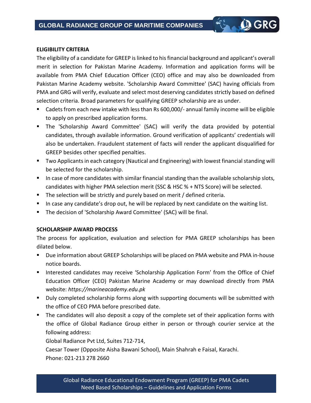#### **ELIGIBILITY CRITERIA**

The eligibility of a candidate for GREEP is linked to his financial background and applicant's overall merit in selection for Pakistan Marine Academy. Information and application forms will be available from PMA Chief Education Officer (CEO) office and may also be downloaded from Pakistan Marine Academy website. 'Scholarship Award Committee' (SAC) having officials from PMA and GRG will verify, evaluate and select most deserving candidates strictly based on defined selection criteria. Broad parameters for qualifying GREEP scholarship are as under.

**Q GRG** 

- Cadets from each new intake with less than Rs 600,000/- annual family income will be eligible to apply on prescribed application forms.
- The 'Scholarship Award Committee' (SAC) will verify the data provided by potential candidates, through available information. Ground verification of applicants' credentials will also be undertaken. Fraudulent statement of facts will render the applicant disqualified for GREEP besides other specified penalties.
- Two Applicants in each category (Nautical and Engineering) with lowest financial standing will be selected for the scholarship.
- In case of more candidates with similar financial standing than the available scholarship slots, candidates with higher PMA selection merit (SSC & HSC % + NTS Score) will be selected.
- The selection will be strictly and purely based on merit / defined criteria.
- In case any candidate's drop out, he will be replaced by next candidate on the waiting list.
- The decision of 'Scholarship Award Committee' (SAC) will be final.

#### **SCHOLARSHIP AWARD PROCESS**

The process for application, evaluation and selection for PMA GREEP scholarships has been dilated below.

- Due information about GREEP Scholarships will be placed on PMA website and PMA in-house notice boards.
- Interested candidates may receive 'Scholarship Application Form' from the Office of Chief Education Officer (CEO) Pakistan Marine Academy or may download directly from PMA website: *https://marineacademy.edu.pk*
- Duly completed scholarship forms along with supporting documents will be submitted with the office of CEO PMA before prescribed date.
- The candidates will also deposit a copy of the complete set of their application forms with the office of Global Radiance Group either in person or through courier service at the following address:

Global Radiance Pvt Ltd, Suites 712-714,

Caesar Tower (Opposite Aisha Bawani School), Main Shahrah e Faisal, Karachi. Phone: 021-213 278 2660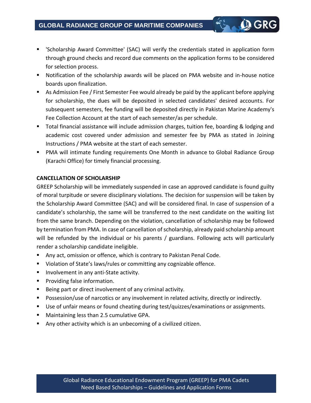■ Scholarship Award Committee' (SAC) will verify the credentials stated in application form through ground checks and record due comments on the application forms to be considered for selection process.

**Q GRG** 

- Notification of the scholarship awards will be placed on PMA website and in-house notice boards upon finalization.
- As Admission Fee / First Semester Fee would already be paid by the applicant before applying for scholarship, the dues will be deposited in selected candidates' desired accounts. For subsequent semesters, fee funding will be deposited directly in Pakistan Marine Academy's Fee Collection Account at the start of each semester/as per schedule.
- Total financial assistance will include admission charges, tuition fee, boarding & lodging and academic cost covered under admission and semester fee by PMA as stated in Joining Instructions / PMA website at the start of each semester.
- PMA will intimate funding requirements One Month in advance to Global Radiance Group (Karachi Office) for timely financial processing.

#### **CANCELLATION OF SCHOLARSHIP**

GREEP Scholarship will be immediately suspended in case an approved candidate is found guilty of moral turpitude or severe disciplinary violations. The decision for suspension will be taken by the Scholarship Award Committee (SAC) and will be considered final. In case of suspension of a candidate's scholarship, the same will be transferred to the next candidate on the waiting list from the same branch. Depending on the violation, cancellation of scholarship may be followed by termination from PMA. In case of cancellation of scholarship, already paid scholarship amount will be refunded by the individual or his parents / guardians. Following acts will particularly render a scholarship candidate ineligible.

- Any act, omission or offence, which is contrary to Pakistan Penal Code.
- Violation of State's laws/rules or committing any cognizable offence.
- Involvement in any anti-State activity.
- Providing false information.
- Being part or direct involvement of any criminal activity.
- Possession/use of narcotics or any involvement in related activity, directly or indirectly.
- Use of unfair means or found cheating during test/quizzes/examinations or assignments.
- Maintaining less than 2.5 cumulative GPA.
- Any other activity which is an unbecoming of a civilized citizen.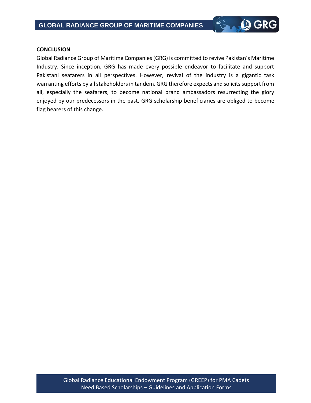#### **CONCLUSION**

Global Radiance Group of Maritime Companies (GRG) is committed to revive Pakistan's Maritime Industry. Since inception, GRG has made every possible endeavor to facilitate and support Pakistani seafarers in all perspectives. However, revival of the industry is a gigantic task warranting efforts by all stakeholders in tandem. GRG therefore expects and solicits support from all, especially the seafarers, to become national brand ambassadors resurrecting the glory enjoyed by our predecessors in the past. GRG scholarship beneficiaries are obliged to become flag bearers of this change.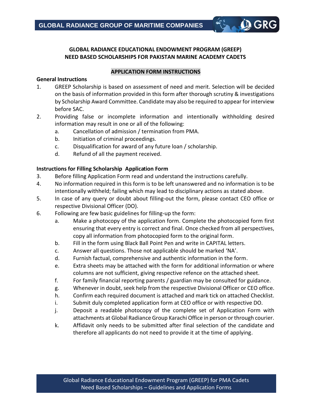#### **GLOBAL RADIANCE EDUCATIONAL ENDOWMENT PROGRAM (GREEP) NEED BASED SCHOLARSHIPS FOR PAKISTAN MARINE ACADEMY CADETS**

**Q GRG** 

#### **APPLICATION FORM INSTRUCTIONS**

#### **General Instructions**

- 1. GREEP Scholarship is based on assessment of need and merit. Selection will be decided on the basis of information provided in this form after thorough scrutiny & investigations by Scholarship Award Committee. Candidate may also be required to appear for interview before SAC.
- 2. Providing false or incomplete information and intentionally withholding desired information may result in one or all of the following:
	- a. Cancellation of admission / termination from PMA.
	- b. Initiation of criminal proceedings.
	- c. Disqualification for award of any future loan / scholarship.
	- d. Refund of all the payment received.

#### **Instructions for Filling Scholarship Application Form**

- 3. Before filling Application Form read and understand the instructions carefully.
- 4. No information required in this form is to be left unanswered and no information is to be intentionally withheld; failing which may lead to disciplinary actions as stated above.
- 5. In case of any query or doubt about filling-out the form, please contact CEO office or respective Divisional Officer (DO).
- 6. Following are few basic guidelines for filling-up the form:
	- a. Make a photocopy of the application form. Complete the photocopied form first ensuring that every entry is correct and final. Once checked from all perspectives, copy all information from photocopied form to the original form.
	- b. Fill in the form using Black Ball Point Pen and write in CAPITAL letters.
	- c. Answer all questions. Those not applicable should be marked 'NA'.
	- d. Furnish factual, comprehensive and authentic information in the form.
	- e. Extra sheets may be attached with the form for additional information or where columns are not sufficient, giving respective refence on the attached sheet.
	- f. For family financial reporting parents / guardian may be consulted for guidance.
	- g. Whenever in doubt, seek help from the respective Divisional Officer or CEO office.
	- h. Confirm each required document is attached and mark tick on attached Checklist.
	- i. Submit duly completed application form at CEO office or with respective DO.
	- j. Deposit a readable photocopy of the complete set of Application Form with attachments at Global Radiance Group Karachi Office in person or through courier.
	- k. Affidavit only needs to be submitted after final selection of the candidate and therefore all applicants do not need to provide it at the time of applying.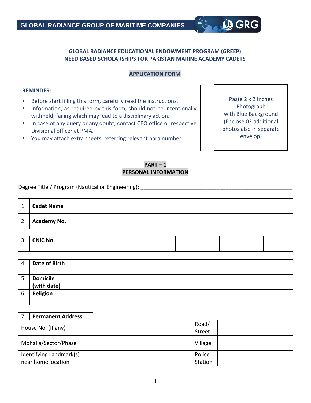#### **GLOBAL RADIANCE EDUCATIONAL ENDOWMENT PROGRAM (GREEP) NEED BASED SCHOLARSHIPS FOR PAKISTAN MARINE ACADEMY CADETS**

#### **APPLICATION FORM**

#### **REMINDER**:

- Before start filling this form, carefully read the instructions.
- **E** Information, as required by this form, should not be intentionally withheld; failing which may lead to a disciplinary action.
- In case of any query or any doubt, contact CEO office or respective Divisional officer at PMA.
- You may attach extra sheets, referring relevant para number.

Paste 2 x 2 Inches Photograph with Blue Background (Enclose 02 additional photos also in separate envelop)

**Q GRG** 

## **PART – 1 PERSONAL INFORMATION**

Degree Title / Program (Nautical or Engineering): \_\_\_\_\_\_\_\_\_\_\_\_\_\_\_\_\_\_\_\_\_\_\_\_\_\_\_\_\_\_

| 1. | <b>Cadet Name</b>      |  |
|----|------------------------|--|
|    | $\vert$ 2. Academy No. |  |

| <b>NIC No</b> |  |  |  |  |  |  |  |  |
|---------------|--|--|--|--|--|--|--|--|
|               |  |  |  |  |  |  |  |  |

| 4. | Date of Birth   |  |
|----|-----------------|--|
| 5. | <b>Domicile</b> |  |
|    | (with date)     |  |
| 6. | Religion        |  |

| <b>Permanent Address:</b> |         |
|---------------------------|---------|
|                           | Road/   |
| House No. (If any)        | Street  |
| Mohalla/Sector/Phase      | Village |
| Identifying Landmark(s)   | Police  |
| near home location        | Station |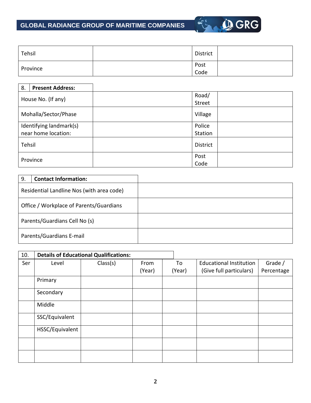

| Tehsil   | District |  |
|----------|----------|--|
| Province | Post     |  |
|          | Code     |  |

| 8.                      | <b>Present Address:</b> |                 |
|-------------------------|-------------------------|-----------------|
|                         |                         | Road/           |
|                         | House No. (If any)      | Street          |
|                         | Mohalla/Sector/Phase    | Village         |
| Identifying landmark(s) |                         | Police          |
|                         | near home location:     | Station         |
| Tehsil                  |                         | <b>District</b> |
| Province                |                         | Post            |
|                         |                         | Code            |

| 9.                                        | <b>Contact Information:</b> |  |
|-------------------------------------------|-----------------------------|--|
| Residential Landline Nos (with area code) |                             |  |
| Office / Workplace of Parents/Guardians   |                             |  |
| Parents/Guardians Cell No (s)             |                             |  |
|                                           | Parents/Guardians E-mail    |  |

| 10. |                 | <b>Details of Educational Qualifications:</b> |        |        |                                |            |
|-----|-----------------|-----------------------------------------------|--------|--------|--------------------------------|------------|
| Ser | Level           | Class(s)                                      | From   | To     | <b>Educational Institution</b> | Grade /    |
|     |                 |                                               | (Year) | (Year) | (Give full particulars)        | Percentage |
|     | Primary         |                                               |        |        |                                |            |
|     | Secondary       |                                               |        |        |                                |            |
|     | Middle          |                                               |        |        |                                |            |
|     | SSC/Equivalent  |                                               |        |        |                                |            |
|     | HSSC/Equivalent |                                               |        |        |                                |            |
|     |                 |                                               |        |        |                                |            |
|     |                 |                                               |        |        |                                |            |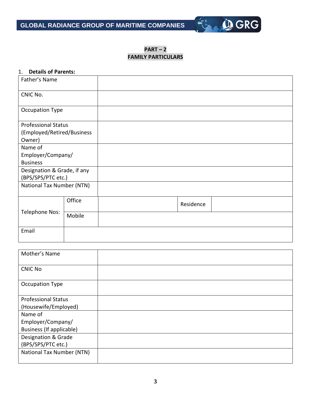

**PART – 2 FAMILY PARTICULARS**

#### 1. **Details of Parents:**

| Father's Name                    |        |           |  |
|----------------------------------|--------|-----------|--|
| CNIC No.                         |        |           |  |
| Occupation Type                  |        |           |  |
| <b>Professional Status</b>       |        |           |  |
| (Employed/Retired/Business       |        |           |  |
| Owner)                           |        |           |  |
| Name of                          |        |           |  |
| Employer/Company/                |        |           |  |
| <b>Business</b>                  |        |           |  |
| Designation & Grade, if any      |        |           |  |
| (BPS/SPS/PTC etc.)               |        |           |  |
| <b>National Tax Number (NTN)</b> |        |           |  |
|                                  |        |           |  |
|                                  | Office | Residence |  |
| Telephone Nos:                   | Mobile |           |  |
| Email                            |        |           |  |
|                                  |        |           |  |

| Mother's Name              |  |
|----------------------------|--|
| <b>CNIC No</b>             |  |
| Occupation Type            |  |
| <b>Professional Status</b> |  |
| (Housewife/Employed)       |  |
| Name of                    |  |
| Employer/Company/          |  |
| Business (If applicable)   |  |
| Designation & Grade        |  |
| (BPS/SPS/PTC etc.)         |  |
| National Tax Number (NTN)  |  |
|                            |  |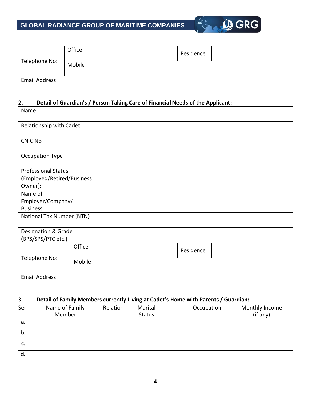

|                      | Office | Residence |  |
|----------------------|--------|-----------|--|
| Telephone No:        | Mobile |           |  |
| <b>Email Address</b> |        |           |  |

#### 2. **Detail of Guardian's / Person Taking Care of Financial Needs of the Applicant:**

| Name                       |        |           |
|----------------------------|--------|-----------|
| Relationship with Cadet    |        |           |
| <b>CNIC No</b>             |        |           |
| Occupation Type            |        |           |
| <b>Professional Status</b> |        |           |
| (Employed/Retired/Business |        |           |
| Owner):                    |        |           |
| Name of                    |        |           |
| Employer/Company/          |        |           |
| <b>Business</b>            |        |           |
| National Tax Number (NTN)  |        |           |
| Designation & Grade        |        |           |
| (BPS/SPS/PTC etc.)         |        |           |
|                            | Office | Residence |
| Telephone No:              | Mobile |           |
| <b>Email Address</b>       |        |           |

#### 3. **Detail of Family Members currently Living at Cadet's Home with Parents / Guardian:**

| Ser | Name of Family<br>Member | Relation | Marital<br><b>Status</b> | Occupation | Monthly Income<br>(if any) |
|-----|--------------------------|----------|--------------------------|------------|----------------------------|
| а.  |                          |          |                          |            |                            |
| b.  |                          |          |                          |            |                            |
| c.  |                          |          |                          |            |                            |
| d.  |                          |          |                          |            |                            |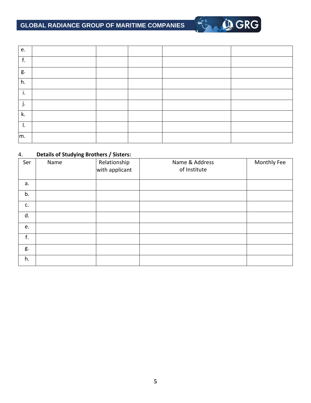# **GLOBAL RADIANCE GROUP OF MARITIME COMPANIES**

| e. |  |  |  |
|----|--|--|--|
| f. |  |  |  |
| g. |  |  |  |
| h. |  |  |  |
| i. |  |  |  |
| j. |  |  |  |
| k. |  |  |  |
| ι. |  |  |  |
| m. |  |  |  |

**OGRG** 

#### 4. **Details of Studying Brothers / Sisters:**

| Ser | . .<br>Name | Relationship<br>with applicant | Name & Address<br>of Institute | Monthly Fee |
|-----|-------------|--------------------------------|--------------------------------|-------------|
| a.  |             |                                |                                |             |
| b.  |             |                                |                                |             |
| c.  |             |                                |                                |             |
| d.  |             |                                |                                |             |
| e.  |             |                                |                                |             |
| f.  |             |                                |                                |             |
| g.  |             |                                |                                |             |
| h.  |             |                                |                                |             |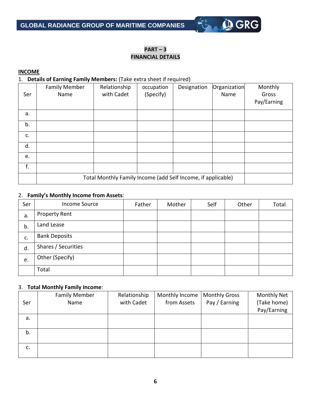## **PART – 3 FINANCIAL DETAILS**

**OGRG** 

#### **INCOME**

1. **Details of Earning Family Members:** (Take extra sheet if required)

| Ser | <b>Family Member</b><br>Name                                 | Relationship<br>with Cadet | occupation<br>(Specify) | Designation | Organization<br>Name | Monthly<br>Gross<br>Pay/Earning |
|-----|--------------------------------------------------------------|----------------------------|-------------------------|-------------|----------------------|---------------------------------|
| a.  |                                                              |                            |                         |             |                      |                                 |
| b.  |                                                              |                            |                         |             |                      |                                 |
| c.  |                                                              |                            |                         |             |                      |                                 |
| d.  |                                                              |                            |                         |             |                      |                                 |
| e.  |                                                              |                            |                         |             |                      |                                 |
| f.  |                                                              |                            |                         |             |                      |                                 |
|     | Total Monthly Family Income (add Self Income, if applicable) |                            |                         |             |                      |                                 |

#### 2. **Family's Monthly Income from Assets**:

| Ser | <b>Income Source</b> | Father | Mother | Self | Other | Total |
|-----|----------------------|--------|--------|------|-------|-------|
| a.  | Property Rent        |        |        |      |       |       |
| b.  | Land Lease           |        |        |      |       |       |
| c.  | <b>Bank Deposits</b> |        |        |      |       |       |
| d.  | Shares / Securities  |        |        |      |       |       |
| e.  | Other (Specify)      |        |        |      |       |       |
|     | Total                |        |        |      |       |       |

#### 3. **Total Monthly Family Income**:

| Ser | <b>Family Member</b><br>Name | Relationship<br>with Cadet | Monthly Income<br>from Assets | <b>Monthly Gross</b><br>Pay / Earning | <b>Monthly Net</b><br>(Take home)<br>Pay/Earning |
|-----|------------------------------|----------------------------|-------------------------------|---------------------------------------|--------------------------------------------------|
| a.  |                              |                            |                               |                                       |                                                  |
| b.  |                              |                            |                               |                                       |                                                  |
| c.  |                              |                            |                               |                                       |                                                  |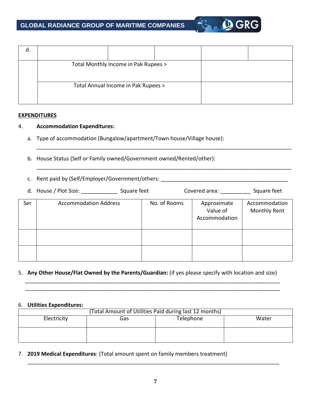

| α. |                                      |  |  |
|----|--------------------------------------|--|--|
|    | Total Monthly Income in Pak Rupees > |  |  |
|    | Total Annual Income in Pak Rupees >  |  |  |

#### **EXPENDITURES**

#### 4. **Accommodation Expenditures:**

- a. Type of accommodation (Bungalow/apartment/Town house/Village house):
- b. House Status (Self or Family owned/Government owned/Rented/other):
- c. Rent paid by (Self/Employer/Government/others: \_\_\_\_\_\_\_\_\_\_\_\_\_\_\_\_\_\_\_\_\_\_\_\_\_\_\_\_\_\_

|     | d. House / Plot Size:        | Square feet  | Covered area: | Square feet                              |                                      |
|-----|------------------------------|--------------|---------------|------------------------------------------|--------------------------------------|
| Ser | <b>Accommodation Address</b> | No. of Rooms |               | Approximate<br>Value of<br>Accommodation | Accommodation<br><b>Monthly Rent</b> |
|     |                              |              |               |                                          |                                      |
|     |                              |              |               |                                          |                                      |

\_\_\_\_\_\_\_\_\_\_\_\_\_\_\_\_\_\_\_\_\_\_\_\_\_\_\_\_\_\_\_\_\_\_\_\_\_\_\_\_\_\_\_\_\_\_\_\_\_\_\_\_\_\_\_\_\_\_\_\_\_\_\_\_\_\_\_\_\_\_\_\_\_\_\_\_\_\_\_\_\_\_\_\_

\_\_\_\_\_\_\_\_\_\_\_\_\_\_\_\_\_\_\_\_\_\_\_\_\_\_\_\_\_\_\_\_\_\_\_\_\_\_\_\_\_\_\_\_\_\_\_\_\_\_\_\_\_\_\_\_\_\_\_\_\_\_\_\_\_\_\_\_\_\_\_\_\_\_\_\_\_\_\_\_\_\_\_\_

#### 5. **Any Other House/Flat Owned by the Parents/Guardian:** (if yes please specify with location and size)

\_\_\_\_\_\_\_\_\_\_\_\_\_\_\_\_\_\_\_\_\_\_\_\_\_\_\_\_\_\_\_\_\_\_\_\_\_\_\_\_\_\_\_\_\_\_\_\_\_\_\_\_\_\_\_\_\_\_\_\_\_\_\_\_\_\_\_\_\_\_\_\_\_\_\_\_\_\_\_\_\_\_\_\_ \_\_\_\_\_\_\_\_\_\_\_\_\_\_\_\_\_\_\_\_\_\_\_\_\_\_\_\_\_\_\_\_\_\_\_\_\_\_\_\_\_\_\_\_\_\_\_\_\_\_\_\_\_\_\_\_\_\_\_\_\_\_\_\_\_\_\_\_\_\_\_\_\_\_\_\_\_\_\_\_\_\_\_\_

#### 6. **Utilities Expenditures:**

| (Total Amount of Utilities Paid during last 12 months) |  |  |  |  |  |  |  |
|--------------------------------------------------------|--|--|--|--|--|--|--|
| Electricity<br>Telephone<br>Water<br>Gas               |  |  |  |  |  |  |  |
|                                                        |  |  |  |  |  |  |  |
|                                                        |  |  |  |  |  |  |  |
|                                                        |  |  |  |  |  |  |  |
|                                                        |  |  |  |  |  |  |  |

7. **2019 Medical Expenditures**: (Total amount spent on family members treatment)

\_\_\_\_\_\_\_\_\_\_\_\_\_\_\_\_\_\_\_\_\_\_\_\_\_\_\_\_\_\_\_\_\_\_\_\_\_\_\_\_\_\_\_\_\_\_\_\_\_\_\_\_\_\_\_\_\_\_\_\_\_\_\_\_\_\_\_\_\_\_\_\_\_\_\_\_\_\_\_\_\_\_\_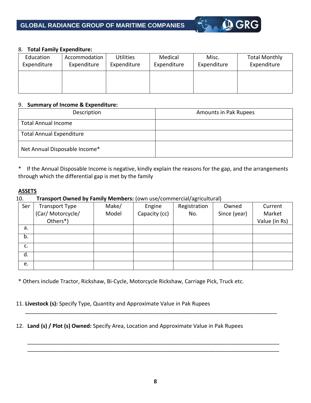

#### 8. **Total Family Expenditure:**

| Education   | Accommodation | <b>Utilities</b> | Medical     | Misc.       | <b>Total Monthly</b> |
|-------------|---------------|------------------|-------------|-------------|----------------------|
| Expenditure | Expenditure   | Expenditure      | Expenditure | Expenditure | Expenditure          |
|             |               |                  |             |             |                      |

#### 9. **Summary of Income & Expenditure:**

| Description                     | Amounts in Pak Rupees |
|---------------------------------|-----------------------|
| <b>Total Annual Income</b>      |                       |
| <b>Total Annual Expenditure</b> |                       |
| Net Annual Disposable Income*   |                       |

\* If the Annual Disposable Income is negative, kindly explain the reasons for the gap, and the arrangements through which the differential gap is met by the family

#### **ASSETS**

#### 10. **Transport Owned by Family Members:** (own use/commercial/agricultural)

| Ser | <b>Transport Type</b> | Make/ | Engine        | Registration | Owned        | Current       |
|-----|-----------------------|-------|---------------|--------------|--------------|---------------|
|     | (Car/ Motorcycle/     | Model | Capacity (cc) | No.          | Since (year) | Market        |
|     | Others*)              |       |               |              |              | Value (in Rs) |
| a.  |                       |       |               |              |              |               |
| b.  |                       |       |               |              |              |               |
| c.  |                       |       |               |              |              |               |
| d.  |                       |       |               |              |              |               |
| e.  |                       |       |               |              |              |               |

\* Others include Tractor, Rickshaw, Bi-Cycle, Motorcycle Rickshaw, Carriage Pick, Truck etc.

11. **Livestock (s):** Specify Type, Quantity and Approximate Value in Pak Rupees

12. **Land (s) / Plot (s) Owned:** Specify Area, Location and Approximate Value in Pak Rupees

\_\_\_\_\_\_\_\_\_\_\_\_\_\_\_\_\_\_\_\_\_\_\_\_\_\_\_\_\_\_\_\_\_\_\_\_\_\_\_\_\_\_\_\_\_\_\_\_\_\_\_\_\_\_\_\_\_\_\_\_\_\_\_\_\_\_\_\_\_\_\_\_\_\_\_\_\_\_\_\_\_\_\_

\_\_\_\_\_\_\_\_\_\_\_\_\_\_\_\_\_\_\_\_\_\_\_\_\_\_\_\_\_\_\_\_\_\_\_\_\_\_\_\_\_\_\_\_\_\_\_\_\_\_\_\_\_\_\_\_\_\_\_\_\_\_\_\_\_\_\_\_\_\_\_\_\_\_\_\_\_\_\_\_\_\_\_ \_\_\_\_\_\_\_\_\_\_\_\_\_\_\_\_\_\_\_\_\_\_\_\_\_\_\_\_\_\_\_\_\_\_\_\_\_\_\_\_\_\_\_\_\_\_\_\_\_\_\_\_\_\_\_\_\_\_\_\_\_\_\_\_\_\_\_\_\_\_\_\_\_\_\_\_\_\_\_\_\_\_\_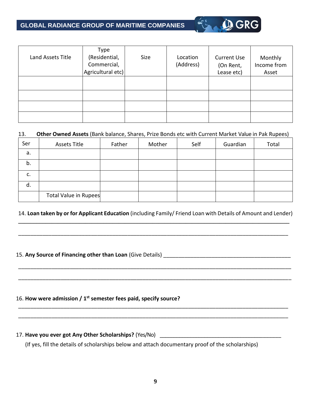# **GLOBAL RADIANCE GROUP OF MARITIME COMPANIES**

|                   | Type              |      |           |                    |             |
|-------------------|-------------------|------|-----------|--------------------|-------------|
| Land Assets Title | (Residential,     | Size | Location  | <b>Current Use</b> | Monthly     |
|                   | Commercial,       |      | (Address) | (On Rent,          | Income from |
|                   | Agricultural etc) |      |           | Lease etc)         | Asset       |
|                   |                   |      |           |                    |             |
|                   |                   |      |           |                    |             |
|                   |                   |      |           |                    |             |
|                   |                   |      |           |                    |             |
|                   |                   |      |           |                    |             |

**Q GRG** 

#### 13. **Other Owned Assets** (Bank balance, Shares, Prize Bonds etc with Current Market Value in Pak Rupees)

| Ser | <b>Assets Title</b>   | Father | Mother | Self | Guardian | Total |
|-----|-----------------------|--------|--------|------|----------|-------|
| a.  |                       |        |        |      |          |       |
| b.  |                       |        |        |      |          |       |
| c.  |                       |        |        |      |          |       |
| d.  |                       |        |        |      |          |       |
|     | Total Value in Rupees |        |        |      |          |       |

#### 14. **Loan taken by or for Applicant Education** (including Family/ Friend Loan with Details of Amount and Lender) **\_\_\_\_\_\_\_\_\_\_\_\_\_\_\_\_\_\_\_\_\_\_\_\_\_\_\_\_\_\_\_\_\_\_\_\_\_\_\_\_\_\_\_\_\_\_\_\_\_\_\_\_\_\_\_\_\_\_\_\_\_\_\_\_\_\_\_\_\_\_\_\_\_\_\_\_\_\_\_\_\_\_\_\_\_\_\_\_\_**

\_\_\_\_\_\_\_\_\_\_\_\_\_\_\_\_\_\_\_\_\_\_\_\_\_\_\_\_\_\_\_\_\_\_\_\_\_\_\_\_\_\_\_\_\_\_\_\_\_\_\_\_\_\_\_\_\_\_\_\_\_\_\_\_\_\_\_\_\_\_\_\_\_\_\_\_\_\_\_\_\_\_\_\_\_\_\_\_\_

\_\_\_\_\_\_\_\_\_\_\_\_\_\_\_\_\_\_\_\_\_\_\_\_\_\_\_\_\_\_\_\_\_\_\_\_\_\_\_\_\_\_\_\_\_\_\_\_\_\_\_\_\_\_\_\_\_\_\_\_\_\_\_\_\_\_\_\_\_\_\_\_\_\_\_\_\_\_\_\_\_\_\_\_\_\_\_\_\_\_

\_\_\_\_\_\_\_\_\_\_\_\_\_\_\_\_\_\_\_\_\_\_\_\_\_\_\_\_\_\_\_\_\_\_\_\_\_\_\_\_\_\_\_\_\_\_\_\_\_\_\_\_\_\_\_\_\_\_\_\_\_\_\_\_\_\_\_\_\_\_\_\_\_\_\_\_\_\_\_\_\_\_\_\_\_\_\_\_\_\_

\_\_\_\_\_\_\_\_\_\_\_\_\_\_\_\_\_\_\_\_\_\_\_\_\_\_\_\_\_\_\_\_\_\_\_\_\_\_\_\_\_\_\_\_\_\_\_\_\_\_\_\_\_\_\_\_\_\_\_\_\_\_\_\_\_\_\_\_\_\_\_\_\_\_\_\_\_\_\_\_\_\_\_\_\_\_\_\_\_ \_\_\_\_\_\_\_\_\_\_\_\_\_\_\_\_\_\_\_\_\_\_\_\_\_\_\_\_\_\_\_\_\_\_\_\_\_\_\_\_\_\_\_\_\_\_\_\_\_\_\_\_\_\_\_\_\_\_\_\_\_\_\_\_\_\_\_\_\_\_\_\_\_\_\_\_\_\_\_\_\_\_\_\_\_\_\_\_\_

#### 15. Any Source of Financing other than Loan (Give Details)

#### 16. **How were admission / 1 st semester fees paid, specify source?**

# 17. **Have you ever got Any Other Scholarships?** (Yes/No) \_\_\_\_\_\_\_\_\_\_\_\_\_\_\_\_\_\_\_\_\_\_\_\_\_\_\_\_\_\_\_\_\_\_\_\_\_\_\_\_\_\_\_

(If yes, fill the details of scholarships below and attach documentary proof of the scholarships)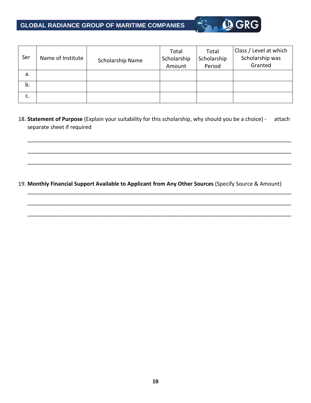# **GLOBAL RADIANCE GROUP OF MARITIME COMPANIES**



| Ser | Name of Institute | Scholarship Name | Total<br>Scholarship<br>Amount | Total<br>Scholarship<br>Period | Class / Level at which<br>Scholarship was<br>Granted |
|-----|-------------------|------------------|--------------------------------|--------------------------------|------------------------------------------------------|
| a.  |                   |                  |                                |                                |                                                      |
| b.  |                   |                  |                                |                                |                                                      |
| c.  |                   |                  |                                |                                |                                                      |

18. **Statement of Purpose** (Explain your suitability for this scholarship, why should you be a choice) - attach separate sheet if required

\_\_\_\_\_\_\_\_\_\_\_\_\_\_\_\_\_\_\_\_\_\_\_\_\_\_\_\_\_\_\_\_\_\_\_\_\_\_\_\_\_\_\_\_\_\_\_\_\_\_\_\_\_\_\_\_\_\_\_\_\_\_\_\_\_\_\_\_\_\_\_\_\_\_\_\_\_\_\_\_\_\_\_\_\_\_\_

\_\_\_\_\_\_\_\_\_\_\_\_\_\_\_\_\_\_\_\_\_\_\_\_\_\_\_\_\_\_\_\_\_\_\_\_\_\_\_\_\_\_\_\_\_\_\_\_\_\_\_\_\_\_\_\_\_\_\_\_\_\_\_\_\_\_\_\_\_\_\_\_\_\_\_\_\_\_\_\_\_\_\_\_\_\_\_

\_\_\_\_\_\_\_\_\_\_\_\_\_\_\_\_\_\_\_\_\_\_\_\_\_\_\_\_\_\_\_\_\_\_\_\_\_\_\_\_\_\_\_\_\_\_\_\_\_\_\_\_\_\_\_\_\_\_\_\_\_\_\_\_\_\_\_\_\_\_\_\_\_\_\_\_\_\_\_\_\_\_\_\_\_\_\_

\_\_\_\_\_\_\_\_\_\_\_\_\_\_\_\_\_\_\_\_\_\_\_\_\_\_\_\_\_\_\_\_\_\_\_\_\_\_\_\_\_\_\_\_\_\_\_\_\_\_\_\_\_\_\_\_\_\_\_\_\_\_\_\_\_\_\_\_\_\_\_\_\_\_\_\_\_\_\_\_\_\_\_\_\_\_\_

\_\_\_\_\_\_\_\_\_\_\_\_\_\_\_\_\_\_\_\_\_\_\_\_\_\_\_\_\_\_\_\_\_\_\_\_\_\_\_\_\_\_\_\_\_\_\_\_\_\_\_\_\_\_\_\_\_\_\_\_\_\_\_\_\_\_\_\_\_\_\_\_\_\_\_\_\_\_\_\_\_\_\_\_\_\_\_

\_\_\_\_\_\_\_\_\_\_\_\_\_\_\_\_\_\_\_\_\_\_\_\_\_\_\_\_\_\_\_\_\_\_\_\_\_\_\_\_\_\_\_\_\_\_\_\_\_\_\_\_\_\_\_\_\_\_\_\_\_\_\_\_\_\_\_\_\_\_\_\_\_\_\_\_\_\_\_\_\_\_\_\_\_\_\_

#### 19. **Monthly Financial Support Available to Applicant from Any Other Sources** (Specify Source & Amount)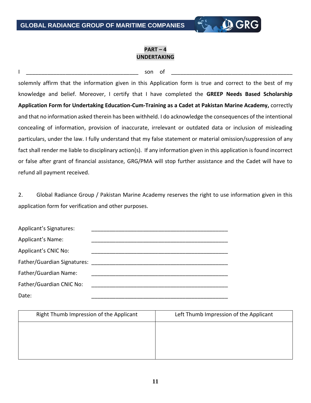#### **PART – 4 UNDERTAKING**

**Q GRG** 

#### I \_\_\_\_\_\_\_\_\_\_\_\_\_\_\_\_\_\_\_\_\_\_\_\_\_\_\_\_\_\_\_\_\_\_\_\_\_ son of \_\_\_\_\_\_\_\_\_\_\_\_\_\_\_\_\_\_\_\_\_\_\_\_\_\_\_\_\_\_\_\_\_\_\_\_\_\_\_\_

solemnly affirm that the information given in this Application form is true and correct to the best of my knowledge and belief. Moreover, I certify that I have completed the **GREEP Needs Based Scholarship Application Form for Undertaking Education-Cum-Training as a Cadet at Pakistan Marine Academy,** correctly and that no information asked therein has been withheld. I do acknowledge the consequences of the intentional concealing of information, provision of inaccurate, irrelevant or outdated data or inclusion of misleading particulars, under the law. I fully understand that my false statement or material omission/suppression of any fact shall render me liable to disciplinary action(s). If any information given in this application is found incorrect or false after grant of financial assistance, GRG/PMA will stop further assistance and the Cadet will have to refund all payment received.

2. Global Radiance Group / Pakistan Marine Academy reserves the right to use information given in this application form for verification and other purposes.

| Applicant's Signatures:     |  |
|-----------------------------|--|
| Applicant's Name:           |  |
| Applicant's CNIC No:        |  |
| Father/Guardian Signatures: |  |
| Father/Guardian Name:       |  |
| Father/Guardian CNIC No:    |  |
| Date:                       |  |

| Right Thumb Impression of the Applicant | Left Thumb Impression of the Applicant |
|-----------------------------------------|----------------------------------------|
|                                         |                                        |
|                                         |                                        |
|                                         |                                        |
|                                         |                                        |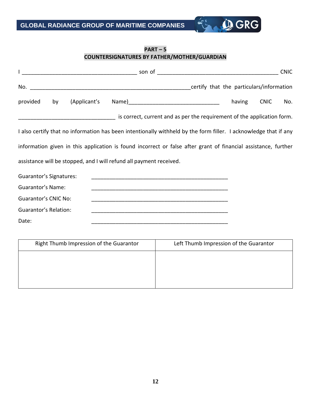

#### **PART – 5 COUNTERSIGNATURES BY FATHER/MOTHER/GUARDIAN**

|                                |    |              |                                                                     |                                                                                                                  |        |             | <b>CNIC</b> |
|--------------------------------|----|--------------|---------------------------------------------------------------------|------------------------------------------------------------------------------------------------------------------|--------|-------------|-------------|
| No.                            |    |              |                                                                     | certify that the particulars/information                                                                         |        |             |             |
| provided                       | by | (Applicant's |                                                                     |                                                                                                                  | having | <b>CNIC</b> | No.         |
|                                |    |              |                                                                     | is correct, current and as per the requirement of the application form.                                          |        |             |             |
|                                |    |              |                                                                     | I also certify that no information has been intentionally withheld by the form filler. I acknowledge that if any |        |             |             |
|                                |    |              |                                                                     | information given in this application is found incorrect or false after grant of financial assistance, further   |        |             |             |
|                                |    |              | assistance will be stopped, and I will refund all payment received. |                                                                                                                  |        |             |             |
| <b>Guarantor's Signatures:</b> |    |              |                                                                     |                                                                                                                  |        |             |             |
| <b>Guarantor's Name:</b>       |    |              |                                                                     |                                                                                                                  |        |             |             |
| <b>Guarantor's CNIC No:</b>    |    |              |                                                                     |                                                                                                                  |        |             |             |
| Guarantor's Relation:          |    |              |                                                                     | <u> 1980 - Jan James James Barnett, fransk politik (d. 1980)</u>                                                 |        |             |             |
| Date:                          |    |              |                                                                     |                                                                                                                  |        |             |             |

| Right Thumb Impression of the Guarantor | Left Thumb Impression of the Guarantor |
|-----------------------------------------|----------------------------------------|
|                                         |                                        |
|                                         |                                        |
|                                         |                                        |
|                                         |                                        |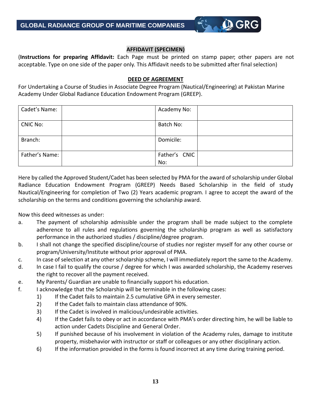#### **AFFIDAVIT (SPECIMEN)**

**Q GRG** 

| (Instructions for preparing Affidavit: Each Page must be printed on stamp paper; other papers are not       |  |  |  |  |  |  |  |
|-------------------------------------------------------------------------------------------------------------|--|--|--|--|--|--|--|
| acceptable. Type on one side of the paper only. This Affidavit needs to be submitted after final selection) |  |  |  |  |  |  |  |

#### **DEED OF AGREEMENT**

For Undertaking a Course of Studies in Associate Degree Program (Nautical/Engineering) at Pakistan Marine Academy Under Global Radiance Education Endowment Program (GREEP).

| Cadet's Name:   | Academy No:   |  |
|-----------------|---------------|--|
| <b>CNIC No:</b> | Batch No:     |  |
| Branch:         | Domicile:     |  |
| Father's Name:  | Father's CNIC |  |
|                 | No:           |  |

Here by called the Approved Student/Cadet has been selected by PMA for the award of scholarship under Global Radiance Education Endowment Program (GREEP) Needs Based Scholarship in the field of study Nautical/Engineering for completion of Two (2) Years academic program. I agree to accept the award of the scholarship on the terms and conditions governing the scholarship award.

Now this deed witnesses as under:

- a. The payment of scholarship admissible under the program shall be made subject to the complete adherence to all rules and regulations governing the scholarship program as well as satisfactory performance in the authorized studies / discipline/degree program.
- b. I shall not change the specified discipline/course of studies nor register myself for any other course or program/University/Institute without prior approval of PMA.
- c. In case of selection at any other scholarship scheme, I will immediately report the same to the Academy.
- d. In case I fail to qualify the course / degree for which I was awarded scholarship, the Academy reserves the right to recover all the payment received.
- e. My Parents/ Guardian are unable to financially support his education.
- f. I acknowledge that the Scholarship will be terminable in the following cases:
	- 1) If the Cadet fails to maintain 2.5 cumulative GPA in every semester.
	- 2) If the Cadet fails to maintain class attendance of 90%.
	- 3) If the Cadet is involved in malicious/undesirable activities.
	- 4) If the Cadet fails to obey or act in accordance with PMA's order directing him, he will be liable to action under Cadets Discipline and General Order.
	- 5) If punished because of his involvement in violation of the Academy rules, damage to institute property, misbehavior with instructor or staff or colleagues or any other disciplinary action.
	- 6) If the information provided in the forms is found incorrect at any time during training period.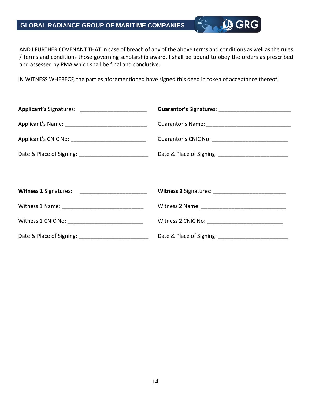# **GLOBAL RADIANCE GROUP OF MARITIME COMPANIES**

AND I FURTHER COVENANT THAT in case of breach of any of the above terms and conditions as well as the rules / terms and conditions those governing scholarship award, I shall be bound to obey the orders as prescribed and assessed by PMA which shall be final and conclusive.

**Q**GRG

IN WITNESS WHEREOF, the parties aforementioned have signed this deed in token of acceptance thereof.

| Applicant's Signatures: ___________________________ |  |
|-----------------------------------------------------|--|
|                                                     |  |
|                                                     |  |
|                                                     |  |
|                                                     |  |
| Witness 1 Signatures: __________________________    |  |
|                                                     |  |
| Witness 1 CNIC No: ________________________________ |  |
|                                                     |  |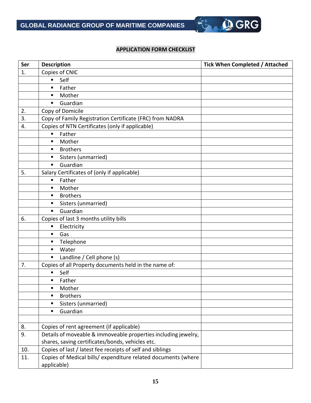#### **APPLICATION FORM CHECKLIST**

S OGRG

| Ser | <b>Description</b>                                             | <b>Tick When Completed / Attached</b> |
|-----|----------------------------------------------------------------|---------------------------------------|
| 1.  | Copies of CNIC                                                 |                                       |
|     | Self<br>٠                                                      |                                       |
|     | Father<br>٠                                                    |                                       |
|     | Mother<br>п                                                    |                                       |
|     | Guardian<br>$\blacksquare$                                     |                                       |
| 2.  | Copy of Domicile                                               |                                       |
| 3.  | Copy of Family Registration Certificate (FRC) from NADRA       |                                       |
| 4.  | Copies of NTN Certificates (only if applicable)                |                                       |
|     | Father<br>π.                                                   |                                       |
|     | Mother<br>٠                                                    |                                       |
|     | <b>Brothers</b><br>٠                                           |                                       |
|     | Sisters (unmarried)<br>п                                       |                                       |
|     | Guardian<br>$\blacksquare$                                     |                                       |
| 5.  | Salary Certificates of (only if applicable)                    |                                       |
|     | Father<br>٠                                                    |                                       |
|     | Mother<br>٠                                                    |                                       |
|     | <b>Brothers</b><br>٠                                           |                                       |
|     | Sisters (unmarried)<br>п                                       |                                       |
|     | Guardian<br>٠                                                  |                                       |
| 6.  | Copies of last 3 months utility bills                          |                                       |
|     | Electricity<br>п                                               |                                       |
|     | Gas<br>٠                                                       |                                       |
|     | Telephone<br>п                                                 |                                       |
|     | Water<br>$\blacksquare$                                        |                                       |
|     | Landline / Cell phone (s)<br>п                                 |                                       |
| 7.  | Copies of all Property documents held in the name of:          |                                       |
|     | Self<br>٠                                                      |                                       |
|     | Father<br>٠                                                    |                                       |
|     | Mother<br>٠                                                    |                                       |
|     | <b>Brothers</b><br>٠                                           |                                       |
|     | Sisters (unmarried)<br>٠                                       |                                       |
|     | Guardian<br>٠                                                  |                                       |
|     |                                                                |                                       |
| 8.  | Copies of rent agreement (if applicable)                       |                                       |
| 9.  | Details of moveable & immoveable properties including jewelry, |                                       |
|     | shares, saving certificates/bonds, vehicles etc.               |                                       |
| 10. | Copies of last / latest fee receipts of self and siblings      |                                       |
| 11. | Copies of Medical bills/ expenditure related documents (where  |                                       |
|     | applicable)                                                    |                                       |